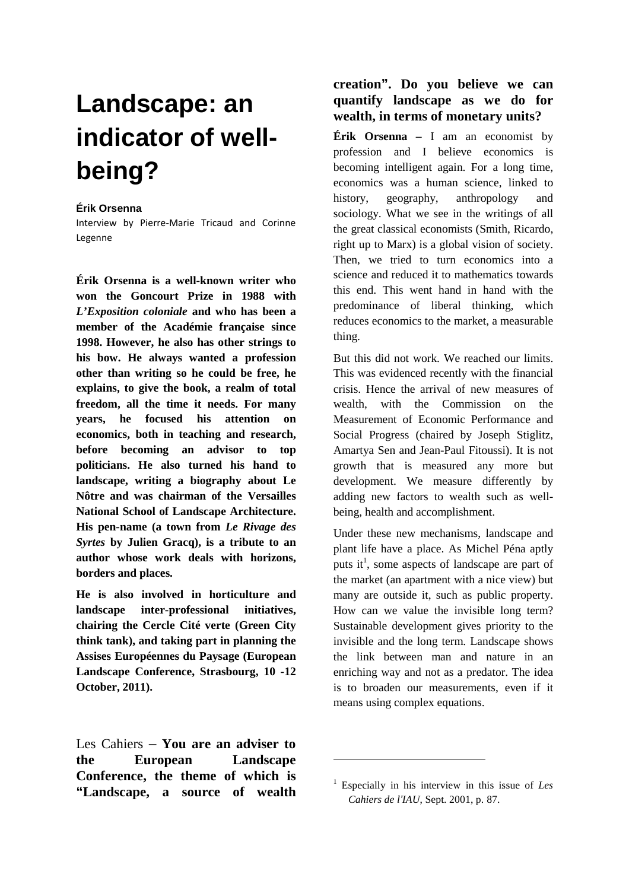# **Landscape: an indicator of wellbeing?**

#### **Érik Orsenna**

Interview by Pierre-Marie Tricaud and Corinne Legenne

**Érik Orsenna is a well-known writer who won the Goncourt Prize in 1988 with**  *L'Exposition coloniale* **and who has been a member of the Académie française since 1998. However, he also has other strings to his bow. He always wanted a profession other than writing so he could be free, he explains, to give the book, a realm of total freedom, all the time it needs. For many years, he focused his attention on economics, both in teaching and research, before becoming an advisor to top politicians. He also turned his hand to landscape, writing a biography about Le Nôtre and was chairman of the Versailles National School of Landscape Architecture. His pen-name (a town from** *Le Rivage des Syrtes* **by Julien Gracq), is a tribute to an author whose work deals with horizons, borders and places.** 

**He is also involved in horticulture and landscape inter-professional initiatives, chairing the Cercle Cité verte (Green City think tank), and taking part in planning the Assises Européennes du Paysage (European Landscape Conference, Strasbourg, 10 -12 October, 2011).** 

Les Cahiers – **You are an adviser to the European Landscape Conference, the theme of which is "Landscape, a source of wealth** 

## **creation". Do you believe we can quantify landscape as we do for wealth, in terms of monetary units?**

**Érik Orsenna –** I am an economist by profession and I believe economics is becoming intelligent again. For a long time, economics was a human science, linked to history, geography, anthropology and sociology. What we see in the writings of all the great classical economists (Smith, Ricardo, right up to Marx) is a global vision of society. Then, we tried to turn economics into a science and reduced it to mathematics towards this end. This went hand in hand with the predominance of liberal thinking, which reduces economics to the market, a measurable thing.

But this did not work. We reached our limits. This was evidenced recently with the financial crisis. Hence the arrival of new measures of wealth with the Commission on the Measurement of Economic Performance and Social Progress (chaired by Joseph Stiglitz, Amartya Sen and Jean-Paul Fitoussi). It is not growth that is measured any more but development. We measure differently by adding new factors to wealth such as wellbeing, health and accomplishment.

Under these new mechanisms, landscape and plant life have a place. As Michel Péna aptly puts it<sup>1</sup>, some aspects of landscape are part of the market (an apartment with a nice view) but many are outside it, such as public property. How can we value the invisible long term? Sustainable development gives priority to the invisible and the long term. Landscape shows the link between man and nature in an enriching way and not as a predator. The idea is to broaden our measurements, even if it means using complex equations.

 $\overline{a}$ 

<sup>1</sup> Especially in his interview in this issue of *Les Cahiers de l*'*IAU*, Sept. 2001, p. 87.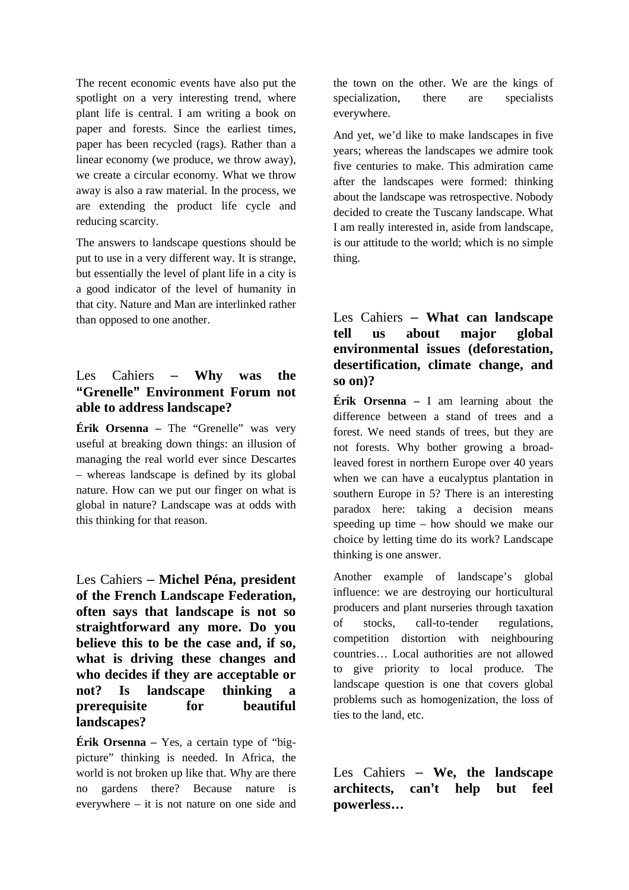The recent economic events have also put the spotlight on a very interesting trend, where plant life is central. I am writing a book on paper and forests. Since the earliest times, paper has been recycled (rags). Rather than a linear economy (we produce, we throw away), we create a circular economy. What we throw away is also a raw material. In the process, we are extending the product life cycle and reducing scarcity.

The answers to landscape questions should be put to use in a very different way. It is strange, but essentially the level of plant life in a city is a good indicator of the level of humanity in that city. Nature and Man are interlinked rather than opposed to one another.

### Les Cahiers – **Why was the "Grenelle" Environment Forum not able to address landscape?**

**Érik Orsenna** – The "Grenelle" was very useful at breaking down things: an illusion of managing the real world ever since Descartes – whereas landscape is defined by its global nature. How can we put our finger on what is global in nature? Landscape was at odds with this thinking for that reason.

Les Cahiers – **Michel Péna, president of the French Landscape Federation, often says that landscape is not so straightforward any more. Do you believe this to be the case and, if so, what is driving these changes and who decides if they are acceptable or not? Is landscape thinking a prerequisite for beautiful landscapes?** 

**Érik Orsenna –** Yes, a certain type of "bigpicture" thinking is needed. In Africa, the world is not broken up like that. Why are there no gardens there? Because nature is everywhere – it is not nature on one side and the town on the other. We are the kings of specialization, there are specialists everywhere.

And yet, we'd like to make landscapes in five years; whereas the landscapes we admire took five centuries to make. This admiration came after the landscapes were formed: thinking about the landscape was retrospective. Nobody decided to create the Tuscany landscape. What I am really interested in, aside from landscape, is our attitude to the world; which is no simple thing.

## Les Cahiers – **What can landscape tell us about major global environmental issues (deforestation, desertification, climate change, and so on)?**

**Érik Orsenna** – I am learning about the difference between a stand of trees and a forest. We need stands of trees, but they are not forests. Why bother growing a broadleaved forest in northern Europe over 40 years when we can have a eucalyptus plantation in southern Europe in 5? There is an interesting paradox here: taking a decision means speeding up time – how should we make our choice by letting time do its work? Landscape thinking is one answer.

Another example of landscape's global influence: we are destroying our horticultural producers and plant nurseries through taxation of stocks, call-to-tender regulations, competition distortion with neighbouring countries… Local authorities are not allowed to give priority to local produce. The landscape question is one that covers global problems such as homogenization, the loss of ties to the land, etc.

Les Cahiers – **We, the landscape architects, can't help but feel powerless…**